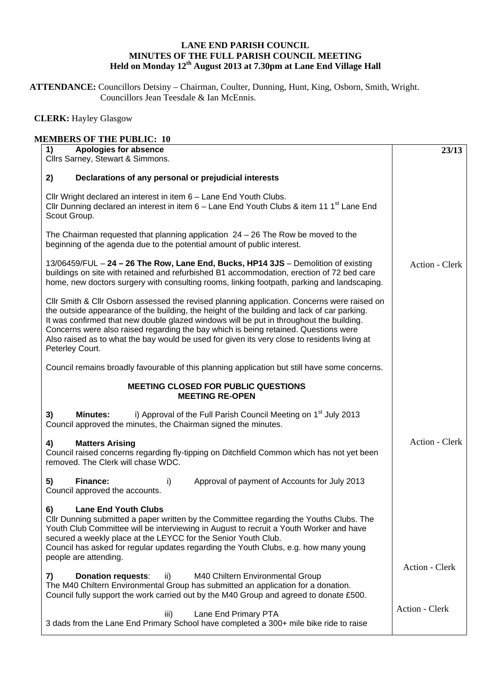## **LANE END PARISH COUNCIL MINUTES OF THE FULL PARISH COUNCIL MEETING Held on Monday 12th August 2013 at 7.30pm at Lane End Village Hall**

**ATTENDANCE:** Councillors Detsiny – Chairman, Coulter, Dunning, Hunt, King, Osborn, Smith, Wright. Councillors Jean Teesdale & Ian McEnnis.

## **CLERK:** Hayley Glasgow

| Apologies for absence<br>1)<br>Cllrs Sarney, Stewart & Simmons.                                                                                                                                                                                                                                                                                                                                                                                                                                 | 23/13                 |
|-------------------------------------------------------------------------------------------------------------------------------------------------------------------------------------------------------------------------------------------------------------------------------------------------------------------------------------------------------------------------------------------------------------------------------------------------------------------------------------------------|-----------------------|
| Declarations of any personal or prejudicial interests<br>2)                                                                                                                                                                                                                                                                                                                                                                                                                                     |                       |
| Cllr Wright declared an interest in item 6 - Lane End Youth Clubs.<br>Cllr Dunning declared an interest in item 6 - Lane End Youth Clubs & item 11 1 <sup>st</sup> Lane End<br>Scout Group.                                                                                                                                                                                                                                                                                                     |                       |
| The Chairman requested that planning application $24 - 26$ The Row be moved to the<br>beginning of the agenda due to the potential amount of public interest.                                                                                                                                                                                                                                                                                                                                   |                       |
| 13/06459/FUL - 24 - 26 The Row, Lane End, Bucks, HP14 3JS - Demolition of existing<br>buildings on site with retained and refurbished B1 accommodation, erection of 72 bed care<br>home, new doctors surgery with consulting rooms, linking footpath, parking and landscaping.                                                                                                                                                                                                                  | Action - Clerk        |
| CIIr Smith & CIIr Osborn assessed the revised planning application. Concerns were raised on<br>the outside appearance of the building, the height of the building and lack of car parking.<br>It was confirmed that new double glazed windows will be put in throughout the building.<br>Concerns were also raised regarding the bay which is being retained. Questions were<br>Also raised as to what the bay would be used for given its very close to residents living at<br>Peterley Court. |                       |
| Council remains broadly favourable of this planning application but still have some concerns.                                                                                                                                                                                                                                                                                                                                                                                                   |                       |
| <b>MEETING CLOSED FOR PUBLIC QUESTIONS</b><br><b>MEETING RE-OPEN</b>                                                                                                                                                                                                                                                                                                                                                                                                                            |                       |
| i) Approval of the Full Parish Council Meeting on 1 <sup>st</sup> July 2013<br>3)<br><b>Minutes:</b><br>Council approved the minutes, the Chairman signed the minutes.                                                                                                                                                                                                                                                                                                                          |                       |
| <b>Matters Arising</b><br>4)<br>Council raised concerns regarding fly-tipping on Ditchfield Common which has not yet been<br>removed. The Clerk will chase WDC.                                                                                                                                                                                                                                                                                                                                 | Action - Clerk        |
| Finance:<br>Approval of payment of Accounts for July 2013<br>5)<br>i)<br>Council approved the accounts.                                                                                                                                                                                                                                                                                                                                                                                         |                       |
| 6)<br><b>Lane End Youth Clubs</b><br>Cllr Dunning submitted a paper written by the Committee regarding the Youths Clubs. The<br>Youth Club Committee will be interviewing in August to recruit a Youth Worker and have<br>secured a weekly place at the LEYCC for the Senior Youth Club.<br>Council has asked for regular updates regarding the Youth Clubs, e.g. how many young<br>people are attending.                                                                                       |                       |
| <b>Donation requests:</b><br>ii)<br>M40 Chiltern Environmental Group<br>7)<br>The M40 Chiltern Environmental Group has submitted an application for a donation.<br>Council fully support the work carried out by the M40 Group and agreed to donate £500.                                                                                                                                                                                                                                       | Action - Clerk        |
| Lane End Primary PTA<br>iii)<br>3 dads from the Lane End Primary School have completed a 300+ mile bike ride to raise                                                                                                                                                                                                                                                                                                                                                                           | <b>Action - Clerk</b> |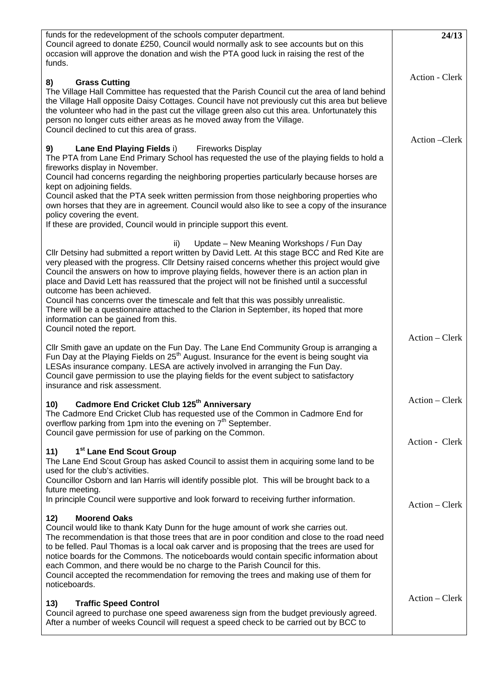| funds for the redevelopment of the schools computer department.<br>Council agreed to donate £250, Council would normally ask to see accounts but on this<br>occasion will approve the donation and wish the PTA good luck in raising the rest of the<br>funds.                                                                                                                                                                                                                                                                                                                                                                                                                                                                    | 24/13                            |
|-----------------------------------------------------------------------------------------------------------------------------------------------------------------------------------------------------------------------------------------------------------------------------------------------------------------------------------------------------------------------------------------------------------------------------------------------------------------------------------------------------------------------------------------------------------------------------------------------------------------------------------------------------------------------------------------------------------------------------------|----------------------------------|
| <b>Grass Cutting</b><br>8)<br>The Village Hall Committee has requested that the Parish Council cut the area of land behind<br>the Village Hall opposite Daisy Cottages. Council have not previously cut this area but believe<br>the volunteer who had in the past cut the village green also cut this area. Unfortunately this<br>person no longer cuts either areas as he moved away from the Village.<br>Council declined to cut this area of grass.                                                                                                                                                                                                                                                                           | Action - Clerk                   |
| Lane End Playing Fields i)<br><b>Fireworks Display</b><br>9)<br>The PTA from Lane End Primary School has requested the use of the playing fields to hold a<br>fireworks display in November.<br>Council had concerns regarding the neighboring properties particularly because horses are<br>kept on adjoining fields.<br>Council asked that the PTA seek written permission from those neighboring properties who<br>own horses that they are in agreement. Council would also like to see a copy of the insurance<br>policy covering the event.<br>If these are provided, Council would in principle support this event.                                                                                                        | Action – Clerk                   |
| Update - New Meaning Workshops / Fun Day<br>ii)<br>Cllr Detsiny had submitted a report written by David Lett. At this stage BCC and Red Kite are<br>very pleased with the progress. Cllr Detsiny raised concerns whether this project would give<br>Council the answers on how to improve playing fields, however there is an action plan in<br>place and David Lett has reassured that the project will not be finished until a successful<br>outcome has been achieved.<br>Council has concerns over the timescale and felt that this was possibly unrealistic.<br>There will be a questionnaire attached to the Clarion in September, its hoped that more<br>information can be gained from this.<br>Council noted the report. |                                  |
| Cllr Smith gave an update on the Fun Day. The Lane End Community Group is arranging a<br>Fun Day at the Playing Fields on 25 <sup>th</sup> August. Insurance for the event is being sought via<br>LESAs insurance company. LESA are actively involved in arranging the Fun Day.<br>Council gave permission to use the playing fields for the event subject to satisfactory<br>insurance and risk assessment.                                                                                                                                                                                                                                                                                                                      | Action – Clerk                   |
| Cadmore End Cricket Club 125 <sup>th</sup> Anniversary<br>10)<br>The Cadmore End Cricket Club has requested use of the Common in Cadmore End for<br>overflow parking from 1pm into the evening on 7 <sup>th</sup> September.<br>Council gave permission for use of parking on the Common.                                                                                                                                                                                                                                                                                                                                                                                                                                         | Action – Clerk<br>Action - Clerk |
| 1 <sup>st</sup> Lane End Scout Group<br>11)<br>The Lane End Scout Group has asked Council to assist them in acquiring some land to be<br>used for the club's activities.<br>Councillor Osborn and Ian Harris will identify possible plot. This will be brought back to a<br>future meeting.<br>In principle Council were supportive and look forward to receiving further information.                                                                                                                                                                                                                                                                                                                                            | Action – Clerk                   |
| 12)<br><b>Moorend Oaks</b><br>Council would like to thank Katy Dunn for the huge amount of work she carries out.<br>The recommendation is that those trees that are in poor condition and close to the road need<br>to be felled. Paul Thomas is a local oak carver and is proposing that the trees are used for<br>notice boards for the Commons. The noticeboards would contain specific information about<br>each Common, and there would be no charge to the Parish Council for this.<br>Council accepted the recommendation for removing the trees and making use of them for<br>noticeboards.                                                                                                                               |                                  |
| 13)<br><b>Traffic Speed Control</b><br>Council agreed to purchase one speed awareness sign from the budget previously agreed.<br>After a number of weeks Council will request a speed check to be carried out by BCC to                                                                                                                                                                                                                                                                                                                                                                                                                                                                                                           | Action – Clerk                   |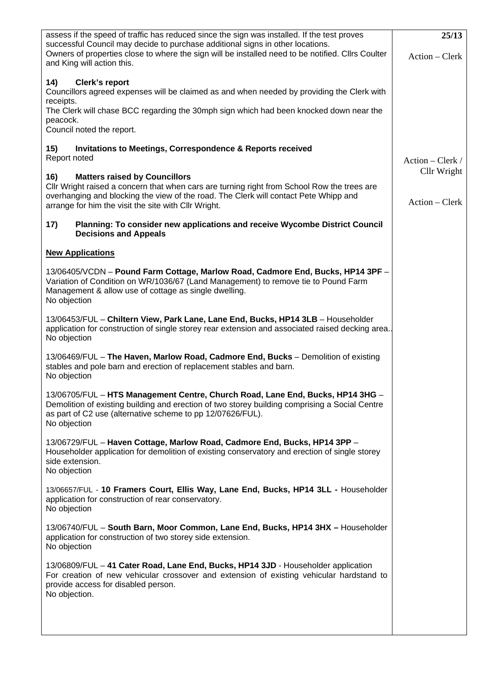| assess if the speed of traffic has reduced since the sign was installed. If the test proves<br>successful Council may decide to purchase additional signs in other locations.<br>Owners of properties close to where the sign will be installed need to be notified. Cllrs Coulter<br>and King will action this. | 25/13<br>Action – Clerk |
|------------------------------------------------------------------------------------------------------------------------------------------------------------------------------------------------------------------------------------------------------------------------------------------------------------------|-------------------------|
| 14)<br>Clerk's report<br>Councillors agreed expenses will be claimed as and when needed by providing the Clerk with<br>receipts.<br>The Clerk will chase BCC regarding the 30mph sign which had been knocked down near the<br>peacock.<br>Council noted the report.                                              |                         |
| <b>Invitations to Meetings, Correspondence &amp; Reports received</b><br>15)<br>Report noted                                                                                                                                                                                                                     | $Action - Clark /$      |
| <b>Matters raised by Councillors</b><br>16)<br>Cllr Wright raised a concern that when cars are turning right from School Row the trees are                                                                                                                                                                       | Cllr Wright             |
| overhanging and blocking the view of the road. The Clerk will contact Pete Whipp and<br>arrange for him the visit the site with Cllr Wright.                                                                                                                                                                     | Action – Clerk          |
| 17)<br>Planning: To consider new applications and receive Wycombe District Council<br><b>Decisions and Appeals</b>                                                                                                                                                                                               |                         |
| <b>New Applications</b>                                                                                                                                                                                                                                                                                          |                         |
| 13/06405/VCDN - Pound Farm Cottage, Marlow Road, Cadmore End, Bucks, HP14 3PF -<br>Variation of Condition on WR/1036/67 (Land Management) to remove tie to Pound Farm<br>Management & allow use of cottage as single dwelling.<br>No objection                                                                   |                         |
| 13/06453/FUL - Chiltern View, Park Lane, Lane End, Bucks, HP14 3LB - Householder<br>application for construction of single storey rear extension and associated raised decking area.<br>No objection                                                                                                             |                         |
| 13/06469/FUL - The Haven, Marlow Road, Cadmore End, Bucks - Demolition of existing<br>stables and pole barn and erection of replacement stables and barn.<br>No objection                                                                                                                                        |                         |
| 13/06705/FUL - HTS Management Centre, Church Road, Lane End, Bucks, HP14 3HG -<br>Demolition of existing building and erection of two storey building comprising a Social Centre<br>as part of C2 use (alternative scheme to pp 12/07626/FUL).<br>No objection                                                   |                         |
| 13/06729/FUL - Haven Cottage, Marlow Road, Cadmore End, Bucks, HP14 3PP -<br>Householder application for demolition of existing conservatory and erection of single storey<br>side extension.<br>No objection                                                                                                    |                         |
| 13/06657/FUL - 10 Framers Court, Ellis Way, Lane End, Bucks, HP14 3LL - Householder<br>application for construction of rear conservatory.<br>No objection                                                                                                                                                        |                         |
| 13/06740/FUL - South Barn, Moor Common, Lane End, Bucks, HP14 3HX - Householder<br>application for construction of two storey side extension.<br>No objection                                                                                                                                                    |                         |
| 13/06809/FUL - 41 Cater Road, Lane End, Bucks, HP14 3JD - Householder application<br>For creation of new vehicular crossover and extension of existing vehicular hardstand to<br>provide access for disabled person.<br>No objection.                                                                            |                         |
|                                                                                                                                                                                                                                                                                                                  |                         |